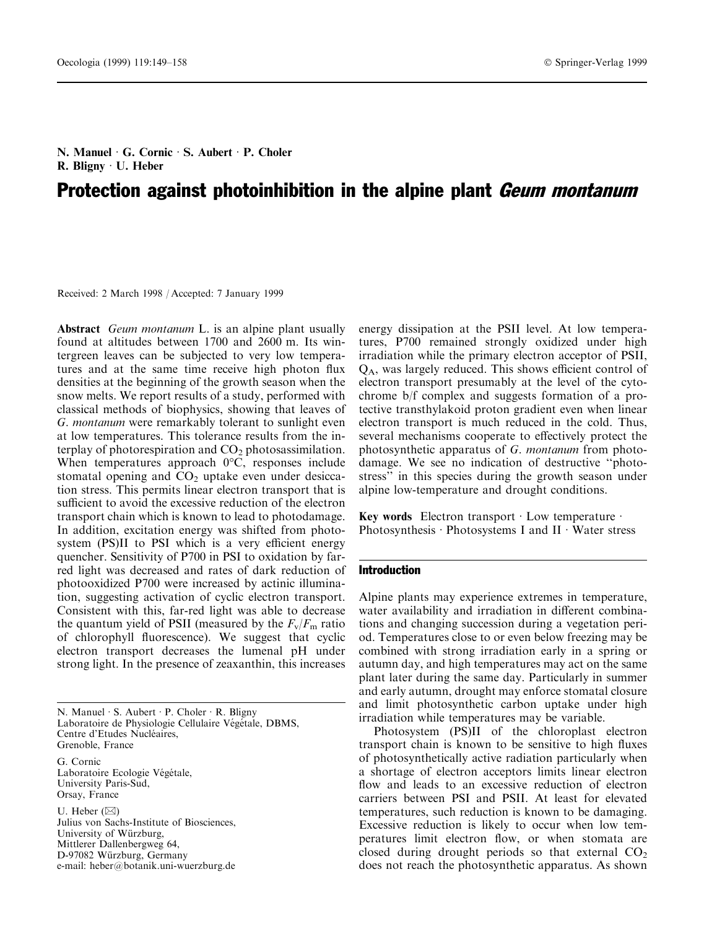# N. Manuel G. Cornic S. Aubert P. Choler R. Bligny  $\cdot$  U. Heber

# Protection against photoinhibition in the alpine plant *Geum montanum*

Received: 2 March 1998 / Accepted: 7 January 1999

Abstract *Geum montanum* L. is an alpine plant usually found at altitudes between 1700 and 2600 m. Its wintergreen leaves can be subjected to very low temperatures and at the same time receive high photon flux densities at the beginning of the growth season when the snow melts. We report results of a study, performed with classical methods of biophysics, showing that leaves of G. montanum were remarkably tolerant to sunlight even at low temperatures. This tolerance results from the interplay of photorespiration and  $CO<sub>2</sub>$  photosassimilation. When temperatures approach 0°C, responses include stomatal opening and  $CO<sub>2</sub>$  uptake even under desiccation stress. This permits linear electron transport that is sufficient to avoid the excessive reduction of the electron transport chain which is known to lead to photodamage. In addition, excitation energy was shifted from photosystem (PS)II to PSI which is a very efficient energy quencher. Sensitivity of P700 in PSI to oxidation by farred light was decreased and rates of dark reduction of photooxidized P700 were increased by actinic illumination, suggesting activation of cyclic electron transport. Consistent with this, far-red light was able to decrease the quantum yield of PSII (measured by the  $F_v/F_m$  ratio of chlorophyll fluorescence). We suggest that cyclic electron transport decreases the lumenal pH under strong light. In the presence of zeaxanthin, this increases

N. Manuel  $\cdot$  S. Aubert  $\cdot$  P. Choler  $\cdot$  R. Bligny Laboratoire de Physiologie Cellulaire Végétale, DBMS, Centre d'Etudes Nucléaires, Grenoble, France

G. Cornic Laboratoire Ecologie Végétale, University Paris-Sud, Orsay, France

U. Heber  $(\boxtimes)$ Julius von Sachs-Institute of Biosciences, University of Würzburg, Mittlerer Dallenbergweg 64, D-97082 Würzburg, Germany e-mail: heber@botanik.uni-wuerzburg.de energy dissipation at the PSII level. At low temperatures, P700 remained strongly oxidized under high irradiation while the primary electron acceptor of PSII,  $Q_A$ , was largely reduced. This shows efficient control of electron transport presumably at the level of the cytochrome b/f complex and suggests formation of a protective transthylakoid proton gradient even when linear electron transport is much reduced in the cold. Thus, several mechanisms cooperate to effectively protect the photosynthetic apparatus of G. montanum from photodamage. We see no indication of destructive "photostress'' in this species during the growth season under alpine low-temperature and drought conditions.

Key words Electron transport  $\cdot$  Low temperature  $\cdot$ Photosynthesis  $\cdot$  Photosystems I and II  $\cdot$  Water stress

# Introduction

Alpine plants may experience extremes in temperature, water availability and irradiation in different combinations and changing succession during a vegetation period. Temperatures close to or even below freezing may be combined with strong irradiation early in a spring or autumn day, and high temperatures may act on the same plant later during the same day. Particularly in summer and early autumn, drought may enforce stomatal closure and limit photosynthetic carbon uptake under high irradiation while temperatures may be variable.

Photosystem (PS)II of the chloroplast electron transport chain is known to be sensitive to high fluxes of photosynthetically active radiation particularly when a shortage of electron acceptors limits linear electron flow and leads to an excessive reduction of electron carriers between PSI and PSII. At least for elevated temperatures, such reduction is known to be damaging. Excessive reduction is likely to occur when low temperatures limit electron flow, or when stomata are closed during drought periods so that external  $CO<sub>2</sub>$ does not reach the photosynthetic apparatus. As shown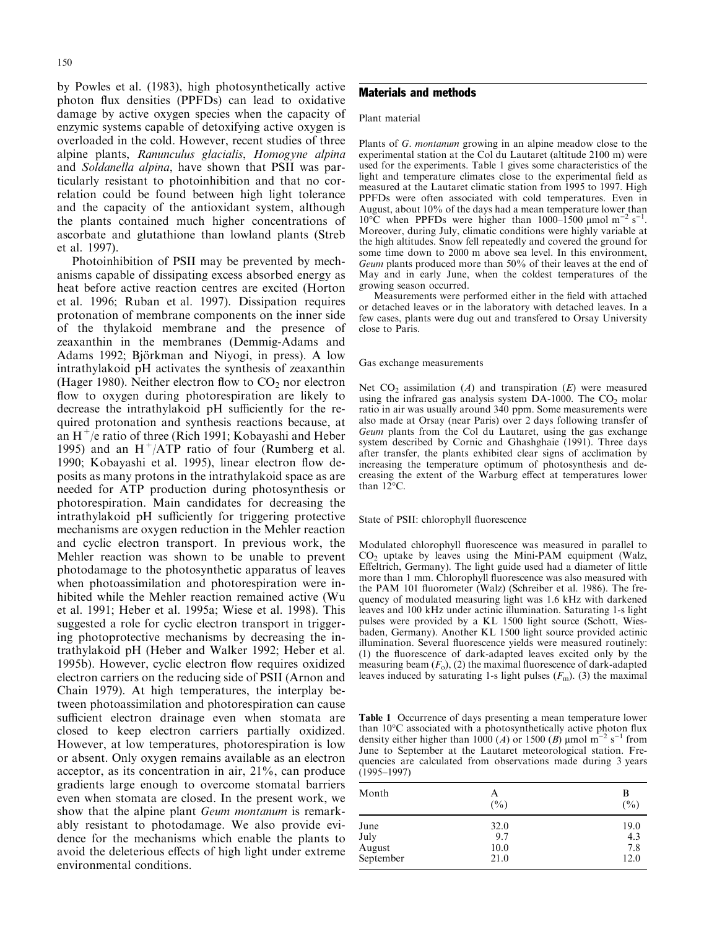by Powles et al. (1983), high photosynthetically active photon flux densities (PPFDs) can lead to oxidative damage by active oxygen species when the capacity of enzymic systems capable of detoxifying active oxygen is overloaded in the cold. However, recent studies of three alpine plants, Ranunculus glacialis, Homogyne alpina and Soldanella alpina, have shown that PSII was particularly resistant to photoinhibition and that no correlation could be found between high light tolerance and the capacity of the antioxidant system, although the plants contained much higher concentrations of ascorbate and glutathione than lowland plants (Streb et al. 1997).

Photoinhibition of PSII may be prevented by mechanisms capable of dissipating excess absorbed energy as heat before active reaction centres are excited (Horton et al. 1996; Ruban et al. 1997). Dissipation requires protonation of membrane components on the inner side of the thylakoid membrane and the presence of zeaxanthin in the membranes (Demmig-Adams and Adams 1992; Björkman and Niyogi, in press). A low intrathylakoid pH activates the synthesis of zeaxanthin (Hager 1980). Neither electron flow to  $CO<sub>2</sub>$  nor electron flow to oxygen during photorespiration are likely to decrease the intrathylakoid pH sufficiently for the required protonation and synthesis reactions because, at an  $H^{\dagger}/e$  ratio of three (Rich 1991; Kobayashi and Heber 1995) and an  $H^+/ATP$  ratio of four (Rumberg et al. 1990; Kobayashi et al. 1995), linear electron flow deposits as many protons in the intrathylakoid space as are needed for ATP production during photosynthesis or photorespiration. Main candidates for decreasing the intrathylakoid pH sufficiently for triggering protective mechanisms are oxygen reduction in the Mehler reaction and cyclic electron transport. In previous work, the Mehler reaction was shown to be unable to prevent photodamage to the photosynthetic apparatus of leaves when photoassimilation and photorespiration were inhibited while the Mehler reaction remained active (Wu et al. 1991; Heber et al. 1995a; Wiese et al. 1998). This suggested a role for cyclic electron transport in triggering photoprotective mechanisms by decreasing the intrathylakoid pH (Heber and Walker 1992; Heber et al. 1995b). However, cyclic electron flow requires oxidized electron carriers on the reducing side of PSII (Arnon and Chain 1979). At high temperatures, the interplay between photoassimilation and photorespiration can cause sufficient electron drainage even when stomata are closed to keep electron carriers partially oxidized. However, at low temperatures, photorespiration is low or absent. Only oxygen remains available as an electron acceptor, as its concentration in air, 21%, can produce gradients large enough to overcome stomatal barriers even when stomata are closed. In the present work, we show that the alpine plant Geum montanum is remarkably resistant to photodamage. We also provide evidence for the mechanisms which enable the plants to avoid the deleterious effects of high light under extreme environmental conditions.

# Materials and methods

## Plant material

Plants of G. montanum growing in an alpine meadow close to the experimental station at the Col du Lautaret (altitude 2100 m) were used for the experiments. Table 1 gives some characteristics of the light and temperature climates close to the experimental field as measured at the Lautaret climatic station from 1995 to 1997. High PPFDs were often associated with cold temperatures. Even in August, about 10% of the days had a mean temperature lower than 10°C when PPFDs were higher than 1000-1500  $\mu$ mol m<sup>-2</sup> s<sup>-1</sup>. Moreover, during July, climatic conditions were highly variable at the high altitudes. Snow fell repeatedly and covered the ground for some time down to 2000 m above sea level. In this environment, Geum plants produced more than 50% of their leaves at the end of May and in early June, when the coldest temperatures of the growing season occurred.

Measurements were performed either in the field with attached or detached leaves or in the laboratory with detached leaves. In a few cases, plants were dug out and transfered to Orsay University close to Paris.

#### Gas exchange measurements

Net  $CO<sub>2</sub>$  assimilation (A) and transpiration (E) were measured using the infrared gas analysis system  $DA-1000$ . The  $CO<sub>2</sub>$  molar ratio in air was usually around 340 ppm. Some measurements were also made at Orsay (near Paris) over 2 days following transfer of Geum plants from the Col du Lautaret, using the gas exchange system described by Cornic and Ghashghaie (1991). Three days after transfer, the plants exhibited clear signs of acclimation by increasing the temperature optimum of photosynthesis and decreasing the extent of the Warburg effect at temperatures lower than 12°C.

## State of PSII: chlorophyll fluorescence

Modulated chlorophyll fluorescence was measured in parallel to  $CO<sub>2</sub>$  uptake by leaves using the Mini-PAM equipment (Walz, Effeltrich, Germany). The light guide used had a diameter of little more than 1 mm. Chlorophyll fluorescence was also measured with the PAM 101 fluorometer (Walz) (Schreiber et al. 1986). The frequency of modulated measuring light was 1.6 kHz with darkened leaves and 100 kHz under actinic illumination. Saturating 1-s light pulses were provided by a KL 1500 light source (Schott, Wiesbaden, Germany). Another KL 1500 light source provided actinic illumination. Several fluorescence yields were measured routinely: (1) the fluorescence of dark-adapted leaves excited only by the measuring beam  $(F<sub>o</sub>)$ , (2) the maximal fluorescence of dark-adapted leaves induced by saturating 1-s light pulses  $(F<sub>m</sub>)$ . (3) the maximal

Table 1 Occurrence of days presenting a mean temperature lower than  $10^{\circ}$ C associated with a photosynthetically active photon flux density either higher than 1000 (A) or 1500 (B) µmol m<sup>-2</sup> s<sup>-1</sup> from June to September at the Lautaret meteorological station. Frequencies are calculated from observations made during 3 years  $(1995-1997)$ 

| Month     | Α<br>$($ %) | B<br>(° <sub>0</sub> ) |  |
|-----------|-------------|------------------------|--|
| June      | 32.0        | 19.0                   |  |
| July      | 9.7         | 4.3                    |  |
| August    | 10.0        | 7.8                    |  |
| September | 21.0        | 12.0                   |  |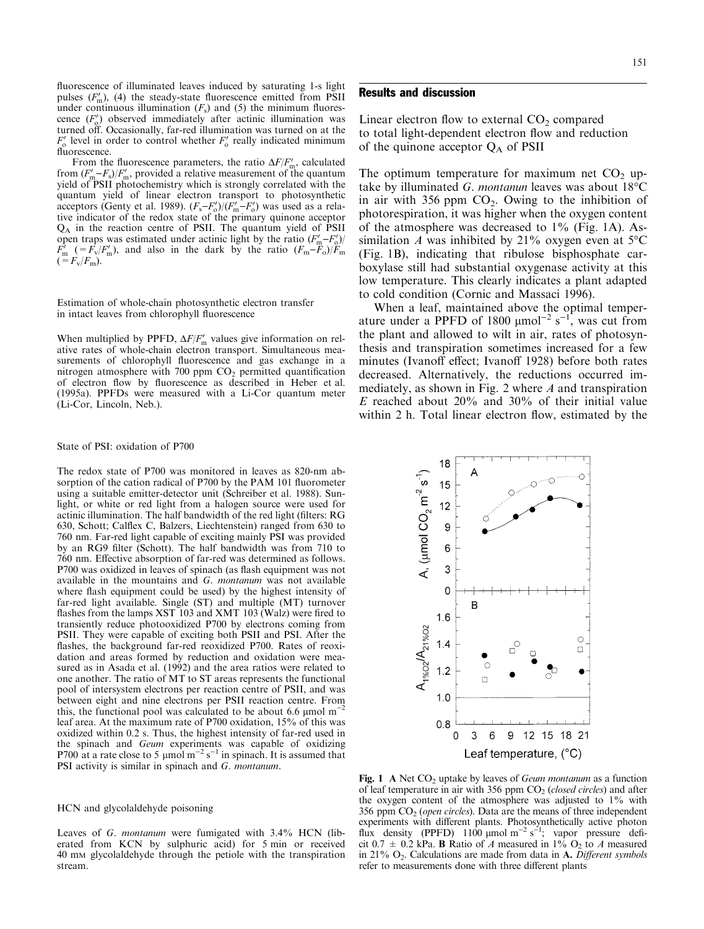fluorescence of illuminated leaves induced by saturating 1-s light pulses  $(F'_m)$ , (4) the steady-state fluorescence emitted from PSII under continuous illumination  $(F_s)$  and  $(5)$  the minimum fluorescence  $(F_0)$  observed immediately after actinic illumination was turned off. Occasionally, far-red illumination was turned on at the  $F'_{o}$  level in order to control whether  $F'_{o}$  really indicated minimum fluorescence.

From the fluorescence parameters, the ratio  $\Delta F/F_{\text{m}}'$ , calculated from  $(F'_{\rm m}-F_{\rm s})/F'_{\rm m}$ , provided a relative measurement of the quantum yield of PSII photochemistry which is strongly correlated with the quantum yield of linear electron transport to photosynthetic acceptors (Genty et al. 1989).  $(F_s - F_o')/(F_m' - F_o')$  was used as a relative indicator of the redox state of the primary quinone acceptor QA in the reaction centre of PSII. The quantum yield of PSII open traps was estimated under actinic light by the ratio  $(F_m^{\dagger} - F_o^{\dagger})/F_m^{\dagger}$ <br>  $F_m^{\dagger} = F_v/F_m^{\dagger}$ , and also in the dark by the ratio  $(F_m - F_o)/F_m^{\dagger}$  $(\mathbf{F}_{\rm v}/F_{\rm m})$ .

Estimation of whole-chain photosynthetic electron transfer in intact leaves from chlorophyll fluorescence

When multiplied by PPFD,  $\Delta F/F'_{\rm m}$  values give information on relative rates of whole-chain electron transport. Simultaneous measurements of chlorophyll fluorescence and gas exchange in a nitrogen atmosphere with 700 ppm  $CO<sub>2</sub>$  permitted quantification of electron flow by fluorescence as described in Heber et al. (1995a). PPFDs were measured with a Li-Cor quantum meter (Li-Cor, Lincoln, Neb.).

#### State of PSI: oxidation of P700

The redox state of P700 was monitored in leaves as 820-nm absorption of the cation radical of P700 by the PAM 101 fluorometer using a suitable emitter-detector unit (Schreiber et al. 1988). Sunlight, or white or red light from a halogen source were used for actinic illumination. The half bandwidth of the red light (filters: RG 630, Schott; Calflex C, Balzers, Liechtenstein) ranged from 630 to 760 nm. Far-red light capable of exciting mainly PSI was provided by an RG9 filter (Schott). The half bandwidth was from 710 to 760 nm. Effective absorption of far-red was determined as follows. P700 was oxidized in leaves of spinach (as flash equipment was not available in the mountains and G. montanum was not available where flash equipment could be used) by the highest intensity of far-red light available. Single (ST) and multiple (MT) turnover flashes from the lamps  $XST$  103 and  $XMT$  103 (Walz) were fired to transiently reduce photooxidized P700 by electrons coming from PSII. They were capable of exciting both PSII and PSI. After the flashes, the background far-red reoxidized P700. Rates of reoxidation and areas formed by reduction and oxidation were measured as in Asada et al. (1992) and the area ratios were related to one another. The ratio of MT to ST areas represents the functional pool of intersystem electrons per reaction centre of PSII, and was between eight and nine electrons per PSII reaction centre. From this, the functional pool was calculated to be about 6.6  $\mu$ mol m<sup>-</sup> leaf area. At the maximum rate of P700 oxidation, 15% of this was oxidized within 0.2 s. Thus, the highest intensity of far-red used in the spinach and Geum experiments was capable of oxidizing P700 at a rate close to 5  $\mu$ mol m<sup>-2</sup> s<sup>-1</sup> in spinach. It is assumed that PSI activity is similar in spinach and G. *montanum*.

#### HCN and glycolaldehyde poisoning

Leaves of G. montanum were fumigated with 3.4% HCN (liberated from KCN by sulphuric acid) for 5 min or received 40 mM glycolaldehyde through the petiole with the transpiration stream.

# Results and discussion

Linear electron flow to external  $CO<sub>2</sub>$  compared to total light-dependent electron flow and reduction of the quinone acceptor  $Q_A$  of PSII

The optimum temperature for maximum net  $CO<sub>2</sub>$  uptake by illuminated G. montanun leaves was about  $18^{\circ}$ C in air with 356 ppm  $CO<sub>2</sub>$ . Owing to the inhibition of photorespiration, it was higher when the oxygen content of the atmosphere was decreased to  $1\%$  (Fig. 1A). Assimilation A was inhibited by 21% oxygen even at  $5^{\circ}$ C (Fig. 1B), indicating that ribulose bisphosphate carboxylase still had substantial oxygenase activity at this low temperature. This clearly indicates a plant adapted to cold condition (Cornic and Massaci 1996).

When a leaf, maintained above the optimal temperature under a PPFD of 1800  $\mu$ mol<sup>-2</sup> s<sup>-1</sup>, was cut from the plant and allowed to wilt in air, rates of photosynthesis and transpiration sometimes increased for a few minutes (Ivanoff effect; Ivanoff 1928) before both rates decreased. Alternatively, the reductions occurred immediately, as shown in Fig. 2 where  $A$  and transpiration E reached about  $20\%$  and  $30\%$  of their initial value within  $2$  h. Total linear electron flow, estimated by the



Fig. 1 A Net  $CO<sub>2</sub>$  uptake by leaves of *Geum montanum* as a function of leaf temperature in air with 356 ppm  $CO<sub>2</sub>$  (closed circles) and after the oxygen content of the atmosphere was adjusted to 1% with 356 ppm  $CO<sub>2</sub>$  (open circles). Data are the means of three independent experiments with different plants. Photosynthetically active photon flux density (PPFD)  $1100 \mu$ mol m<sup>-2</sup> s<sup>-1</sup>; vapor pressure deficit 0.7  $\pm$  0.2 kPa. **B** Ratio of A measured in 1% O<sub>2</sub> to A measured in 21%  $O<sub>2</sub>$ . Calculations are made from data in A. Different symbols refer to measurements done with three different plants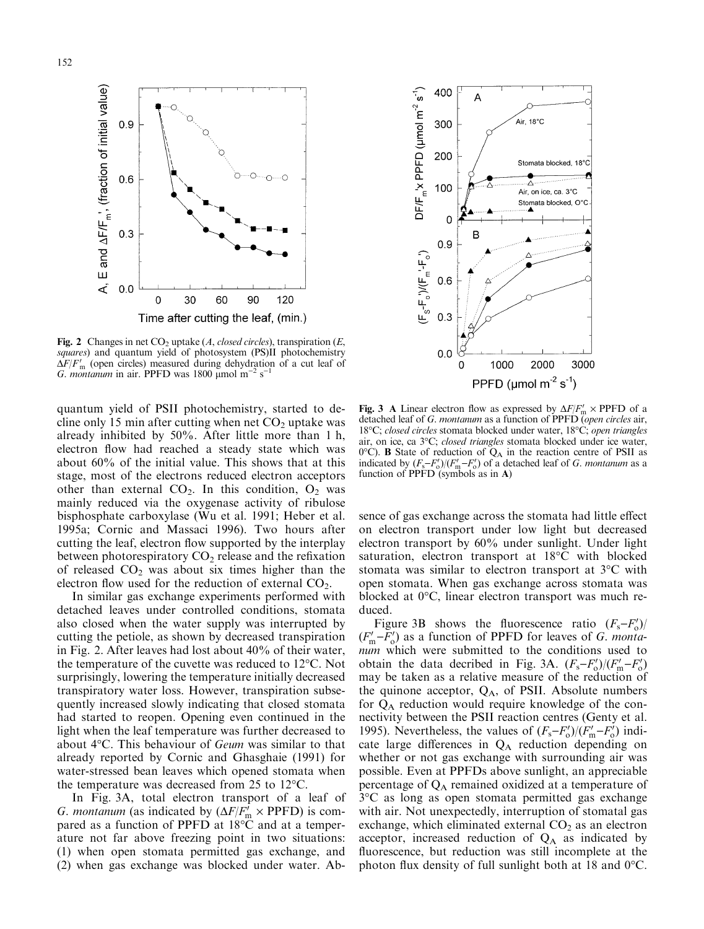

Fig. 2 Changes in net  $CO<sub>2</sub>$  uptake (A, closed circles), transpiration (E, squares) and quantum yield of photosystem (PS)II photochemistry  $\Delta F/F'_{\rm m}$  (open circles) measured during dehydration of a cut leaf of G. montanum in air. PPFD was 1800  $\mu$ mol m<sup>-2</sup> s<sup>-1</sup>

quantum yield of PSII photochemistry, started to decline only 15 min after cutting when net  $CO<sub>2</sub>$  uptake was already inhibited by 50%. After little more than 1 h, electron flow had reached a steady state which was about 60% of the initial value. This shows that at this stage, most of the electrons reduced electron acceptors other than external  $CO<sub>2</sub>$ . In this condition,  $O<sub>2</sub>$  was mainly reduced via the oxygenase activity of ribulose bisphosphate carboxylase (Wu et al. 1991; Heber et al. 1995a; Cornic and Massaci 1996). Two hours after cutting the leaf, electron flow supported by the interplay between photorespiratory  $CO<sub>2</sub>$  release and the refixation of released  $CO<sub>2</sub>$  was about six times higher than the electron flow used for the reduction of external  $CO<sub>2</sub>$ .

In similar gas exchange experiments performed with detached leaves under controlled conditions, stomata also closed when the water supply was interrupted by cutting the petiole, as shown by decreased transpiration in Fig. 2. After leaves had lost about 40% of their water, the temperature of the cuvette was reduced to 12°C. Not surprisingly, lowering the temperature initially decreased transpiratory water loss. However, transpiration subsequently increased slowly indicating that closed stomata had started to reopen. Opening even continued in the light when the leaf temperature was further decreased to about 4°C. This behaviour of Geum was similar to that already reported by Cornic and Ghasghaie (1991) for water-stressed bean leaves which opened stomata when the temperature was decreased from 25 to 12°C.

In Fig. 3A, total electron transport of a leaf of G. montanum (as indicated by  $(\Delta F/F'_{\rm m} \times {\rm PPFD})$  is compared as a function of PPFD at 18°C and at a temperature not far above freezing point in two situations: (1) when open stomata permitted gas exchange, and (2) when gas exchange was blocked under water. Ab-



Fig. 3 A Linear electron flow as expressed by  $\Delta F/F'_{\rm m} \times \text{PPFD}$  of a detached leaf of G. montanum as a function of PPFD (open circles air, 18°C; closed circles stomata blocked under water, 18°C; open triangles air, on ice, ca 3°C; closed triangles stomata blocked under ice water, 0°C). **B** State of reduction of  $Q_A$  in the reaction centre of PSII as indicated by  $(F_s - F'_0)/(F'_m - F'_0)$  of a detached leaf of *G. montanum* as a function of PPFD (symbols as in **A**)

sence of gas exchange across the stomata had little effect on electron transport under low light but decreased electron transport by 60% under sunlight. Under light saturation, electron transport at 18°C with blocked stomata was similar to electron transport at 3°C with open stomata. When gas exchange across stomata was blocked at 0°C, linear electron transport was much reduced.

Figure 3B shows the fluorescence ratio  $(F_s - F_o')/$  $(F'_{\rm m} - F'_{\rm o})$  as a function of PPFD for leaves of G. montanum which were submitted to the conditions used to obtain the data decribed in Fig. 3A.  $(F_s - F_o')/(F_m' - F_o')$ may be taken as a relative measure of the reduction of the quinone acceptor,  $Q_A$ , of PSII. Absolute numbers for  $Q_A$  reduction would require knowledge of the connectivity between the PSII reaction centres (Genty et al. 1995). Nevertheless, the values of  $(F_s - F'_0)/(F'_m - F'_0)$  indicate large differences in  $Q_A$  reduction depending on whether or not gas exchange with surrounding air was possible. Even at PPFDs above sunlight, an appreciable percentage of  $Q_A$  remained oxidized at a temperature of 3°C as long as open stomata permitted gas exchange with air. Not unexpectedly, interruption of stomatal gas exchange, which eliminated external  $CO<sub>2</sub>$  as an electron acceptor, increased reduction of  $Q_A$  as indicated by fluorescence, but reduction was still incomplete at the photon flux density of full sunlight both at 18 and  $0^{\circ}$ C.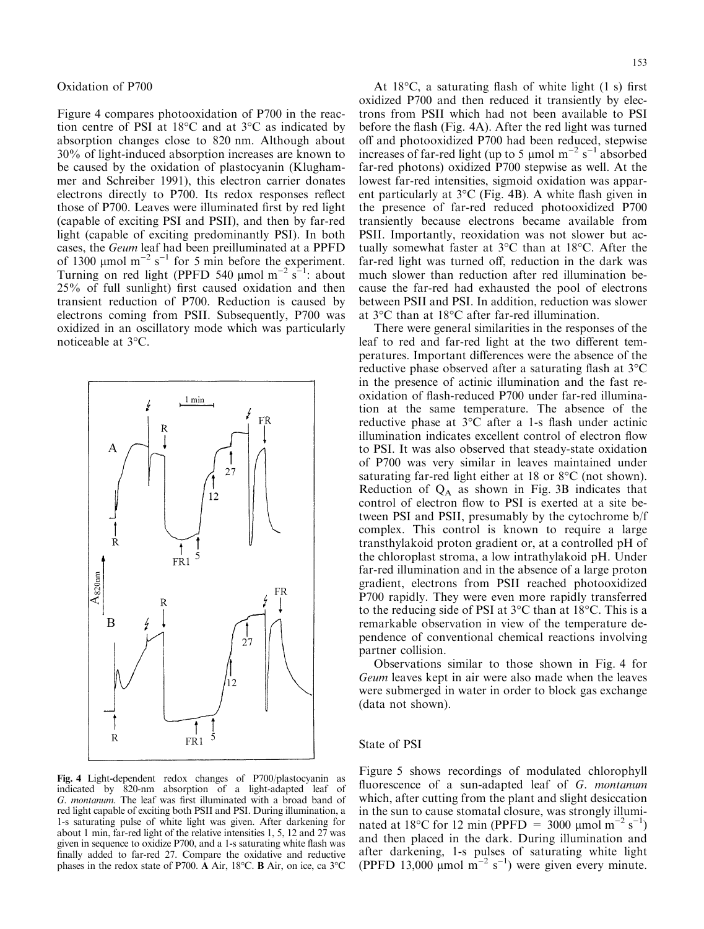## Oxidation of P700

Figure 4 compares photooxidation of P700 in the reaction centre of PSI at 18°C and at 3°C as indicated by absorption changes close to 820 nm. Although about 30% of light-induced absorption increases are known to be caused by the oxidation of plastocyanin (Klughammer and Schreiber 1991), this electron carrier donates electrons directly to P700. Its redox responses reflect those of P700. Leaves were illuminated first by red light (capable of exciting PSI and PSII), and then by far-red light (capable of exciting predominantly PSI). In both cases, the Geum leaf had been preilluminated at a PPFD of 1300  $\mu$ mol m<sup>-2</sup> s<sup>-1</sup> for 5 min before the experiment. Turning on red light (PPFD 540 µmol m<sup>-2</sup> s<sup>-1</sup>: about  $25\%$  of full sunlight) first caused oxidation and then transient reduction of P700. Reduction is caused by electrons coming from PSII. Subsequently, P700 was oxidized in an oscillatory mode which was particularly noticeable at 3°C.



Fig. 4 Light-dependent redox changes of P700/plastocyanin as indicated by 820-nm absorption of a light-adapted leaf of G. montanum. The leaf was first illuminated with a broad band of red light capable of exciting both PSII and PSI. During illumination, a 1-s saturating pulse of white light was given. After darkening for about 1 min, far-red light of the relative intensities 1, 5, 12 and 27 was given in sequence to oxidize P700, and a 1-s saturating white flash was finally added to far-red 27. Compare the oxidative and reductive phases in the redox state of P700. A Air, 18°C. B Air, on ice, ca 3°C

At  $18^{\circ}$ C, a saturating flash of white light (1 s) first oxidized P700 and then reduced it transiently by electrons from PSII which had not been available to PSI before the flash (Fig. 4A). After the red light was turned off and photooxidized P700 had been reduced, stepwise increases of far-red light (up to 5 µmol  $m^{-2}$  s<sup>-1</sup> absorbed far-red photons) oxidized P700 stepwise as well. At the lowest far-red intensities, sigmoid oxidation was apparent particularly at  $3^{\circ}$ C (Fig. 4B). A white flash given in the presence of far-red reduced photooxidized P700 transiently because electrons became available from PSII. Importantly, reoxidation was not slower but actually somewhat faster at 3°C than at 18°C. After the far-red light was turned off, reduction in the dark was much slower than reduction after red illumination because the far-red had exhausted the pool of electrons between PSII and PSI. In addition, reduction was slower at 3°C than at 18°C after far-red illumination.

There were general similarities in the responses of the leaf to red and far-red light at the two different temperatures. Important differences were the absence of the reductive phase observed after a saturating flash at  $3^{\circ}$ C in the presence of actinic illumination and the fast reoxidation of flash-reduced P700 under far-red illumination at the same temperature. The absence of the reductive phase at  $3^{\circ}$ C after a 1-s flash under actinic illumination indicates excellent control of electron flow to PSI. It was also observed that steady-state oxidation of P700 was very similar in leaves maintained under saturating far-red light either at 18 or 8°C (not shown). Reduction of  $Q_A$  as shown in Fig. 3B indicates that control of electron flow to PSI is exerted at a site between PSI and PSII, presumably by the cytochrome b/f complex. This control is known to require a large transthylakoid proton gradient or, at a controlled pH of the chloroplast stroma, a low intrathylakoid pH. Under far-red illumination and in the absence of a large proton gradient, electrons from PSII reached photooxidized P700 rapidly. They were even more rapidly transferred to the reducing side of PSI at 3°C than at 18°C. This is a remarkable observation in view of the temperature dependence of conventional chemical reactions involving partner collision.

Observations similar to those shown in Fig. 4 for Geum leaves kept in air were also made when the leaves were submerged in water in order to block gas exchange (data not shown).

## State of PSI

Figure 5 shows recordings of modulated chlorophyll fluorescence of a sun-adapted leaf of  $G$ . montanum which, after cutting from the plant and slight desiccation in the sun to cause stomatal closure, was strongly illuminated at 18°C for 12 min (PPFD = 3000 µmol m<sup>-2</sup> s<sup>-1</sup>) and then placed in the dark. During illumination and after darkening, 1-s pulses of saturating white light (PPFD 13,000  $\mu$ mol m<sup>-2</sup> s<sup>-1</sup>) were given every minute.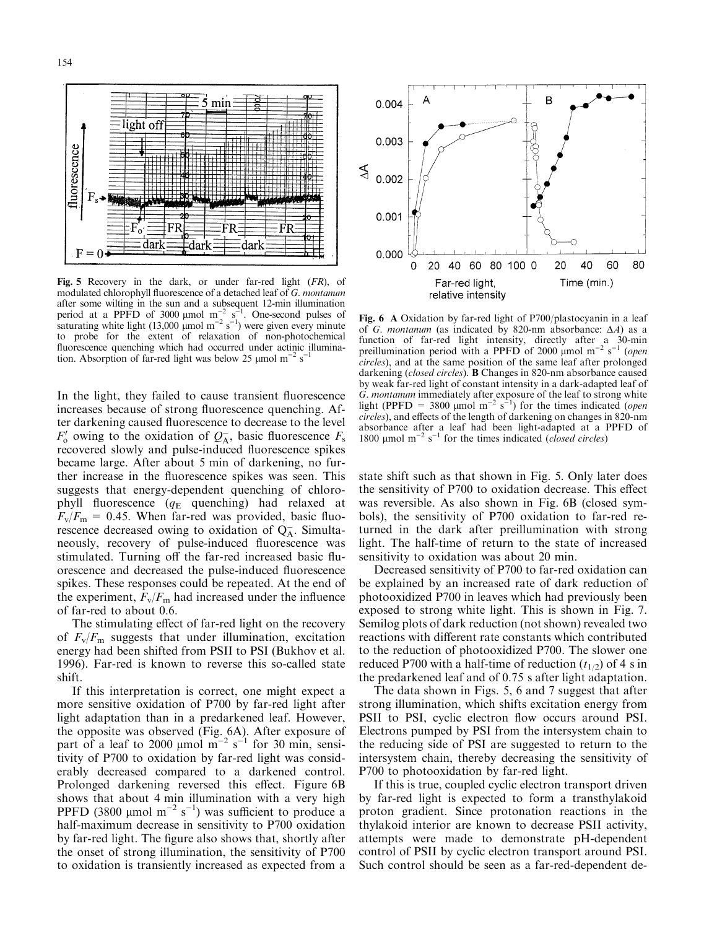

Fig. 5 Recovery in the dark, or under far-red light (FR), of modulated chlorophyll fluorescence of a detached leaf of G. montanum after some wilting in the sun and a subsequent 12-min illumination<br>period at a PPFD of 3000 µmol m<sup>-2</sup> s<sup>-1</sup>. One-second pulses of<br>saturating white light (13,000 µmol m<sup>-2</sup> s<sup>-1</sup>) were given every minute to probe for the extent of relaxation of non-photochemical fluorescence quenching which had occurred under actinic illumination. Absorption of far-red light was below 25  $\mu$ mol m<sup>-2</sup> s<sup>-1</sup>

In the light, they failed to cause transient fluorescence increases because of strong fluorescence quenching. After darkening caused fluorescence to decrease to the level  $F'_{o}$  owing to the oxidation of  $Q_{A}^{-}$ , basic fluorescence  $F_{s}$ recovered slowly and pulse-induced fluorescence spikes became large. After about 5 min of darkening, no further increase in the fluorescence spikes was seen. This suggests that energy-dependent quenching of chlorophyll fluorescence  $(q_E$  quenching) had relaxed at  $F_v/F_m = 0.45$ . When far-red was provided, basic fluorescence decreased owing to oxidation of  $Q_A^-$ . Simultaneously, recovery of pulse-induced fluorescence was stimulated. Turning off the far-red increased basic fluorescence and decreased the pulse-induced fluorescence spikes. These responses could be repeated. At the end of the experiment,  $F_v/F_m$  had increased under the influence of far-red to about 0.6.

The stimulating effect of far-red light on the recovery of  $F_v/F_m$  suggests that under illumination, excitation energy had been shifted from PSII to PSI (Bukhov et al. 1996). Far-red is known to reverse this so-called state shift.

If this interpretation is correct, one might expect a more sensitive oxidation of P700 by far-red light after light adaptation than in a predarkened leaf. However, the opposite was observed (Fig. 6A). After exposure of part of a leaf to 2000  $\mu$ mol m<sup>-2</sup> s<sup>-1</sup> for 30 min, sensitivity of P700 to oxidation by far-red light was considerably decreased compared to a darkened control. Prolonged darkening reversed this effect. Figure 6B shows that about 4 min illumination with a very high PPFD (3800 µmol m<sup>-2</sup> s<sup>-1</sup>) was sufficient to produce a half-maximum decrease in sensitivity to P700 oxidation by far-red light. The figure also shows that, shortly after the onset of strong illumination, the sensitivity of P700 to oxidation is transiently increased as expected from a



Fig. 6 A Oxidation by far-red light of P700/plastocyanin in a leaf of G. montanum (as indicated by 820-nm absorbance:  $\Delta A$ ) as a function of far-red light intensity, directly after a 30-min preillumination period with a PPFD of 2000  $\mu$ mol m<sup>-2</sup> s<sup>-1</sup> (open circles), and at the same position of the same leaf after prolonged darkening (closed circles). **B** Changes in 820-nm absorbance caused by weak far-red light of constant intensity in a dark-adapted leaf of G. montanum immediately after exposure of the leaf to strong white light (PPFD = 3800 µmol m<sup>-2</sup> s<sup>-1</sup>) for the times indicated (open  $circles$ ), and effects of the length of darkening on changes in 820-nm absorbance after a leaf had been light-adapted at a PPFD of 1800  $\mu$ mol m<sup>-2</sup> s<sup>-1</sup> for the times indicated (*closed circles*)

state shift such as that shown in Fig. 5. Only later does the sensitivity of P700 to oxidation decrease. This effect was reversible. As also shown in Fig. 6B (closed symbols), the sensitivity of P700 oxidation to far-red returned in the dark after preillumination with strong light. The half-time of return to the state of increased sensitivity to oxidation was about 20 min.

Decreased sensitivity of P700 to far-red oxidation can be explained by an increased rate of dark reduction of photooxidized P700 in leaves which had previously been exposed to strong white light. This is shown in Fig. 7. Semilog plots of dark reduction (not shown) revealed two reactions with different rate constants which contributed to the reduction of photooxidized P700. The slower one reduced P700 with a half-time of reduction  $(t_{1/2})$  of 4 s in the predarkened leaf and of 0.75 s after light adaptation.

The data shown in Figs. 5, 6 and 7 suggest that after strong illumination, which shifts excitation energy from PSII to PSI, cyclic electron flow occurs around PSI. Electrons pumped by PSI from the intersystem chain to the reducing side of PSI are suggested to return to the intersystem chain, thereby decreasing the sensitivity of P700 to photooxidation by far-red light.

If this is true, coupled cyclic electron transport driven by far-red light is expected to form a transthylakoid proton gradient. Since protonation reactions in the thylakoid interior are known to decrease PSII activity, attempts were made to demonstrate pH-dependent control of PSII by cyclic electron transport around PSI. Such control should be seen as a far-red-dependent de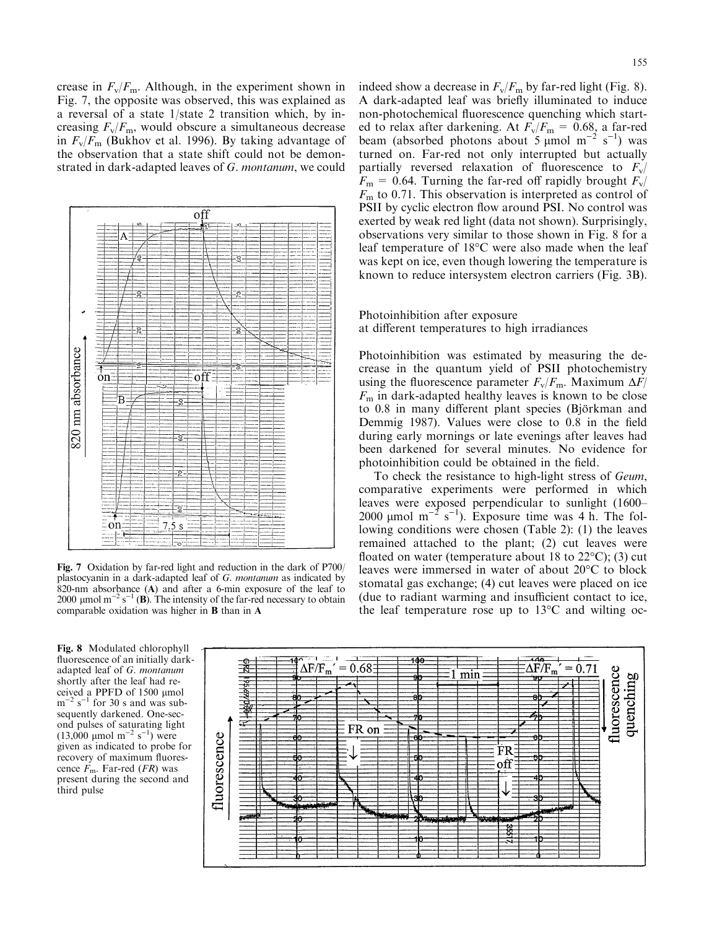crease in  $F_v/F_m$ . Although, in the experiment shown in Fig. 7, the opposite was observed, this was explained as a reversal of a state 1/state 2 transition which, by increasing  $F_v/F_m$ , would obscure a simultaneous decrease in  $F_v/F_m$  (Bukhov et al. 1996). By taking advantage of the observation that a state shift could not be demonstrated in dark-adapted leaves of G. montanum, we could



Fig. 7 Oxidation by far-red light and reduction in the dark of P700/ plastocyanin in a dark-adapted leaf of G. montanum as indicated by 820-nm absorbance (A) and after a 6-min exposure of the leaf to 2000 µmol m<sup>-2</sup> s<sup>-1</sup> (B). The intensity of the far-red necessary to obtain comparable oxidation was higher in B than in A

indeed show a decrease in  $F_v/F_m$  by far-red light (Fig. 8). A dark-adapted leaf was briefly illuminated to induce non-photochemical fluorescence quenching which started to relax after darkening. At  $F_v/F_m = 0.68$ , a far-red beam (absorbed photons about 5  $\mu$ mol m<sup>-2</sup> s<sup>-1</sup>) was turned on. Far-red not only interrupted but actually partially reversed relaxation of fluorescence to  $F_v/$  $F_{\rm m}$  = 0.64. Turning the far-red off rapidly brought  $F_{\rm v}/F_{\rm w}$  $F<sub>m</sub>$  to 0.71. This observation is interpreted as control of PSII by cyclic electron flow around PSI. No control was exerted by weak red light (data not shown). Surprisingly, observations very similar to those shown in Fig. 8 for a leaf temperature of 18°C were also made when the leaf was kept on ice, even though lowering the temperature is known to reduce intersystem electron carriers (Fig. 3B).

# Photoinhibition after exposure at different temperatures to high irradiances

Photoinhibition was estimated by measuring the decrease in the quantum yield of PSII photochemistry using the fluorescence parameter  $F_v/F_m$ . Maximum  $\Delta F/v$  $F<sub>m</sub>$  in dark-adapted healthy leaves is known to be close to 0.8 in many different plant species (Björkman and Demmig 1987). Values were close to  $0.8$  in the field during early mornings or late evenings after leaves had been darkened for several minutes. No evidence for photoinhibition could be obtained in the field.

To check the resistance to high-light stress of Geum, comparative experiments were performed in which leaves were exposed perpendicular to sunlight (1600-2000 µmol m<sup>-2</sup> s<sup>-1</sup>). Exposure time was 4 h. The following conditions were chosen (Table 2): (1) the leaves remained attached to the plant; (2) cut leaves were floated on water (temperature about 18 to  $22^{\circ}$ C); (3) cut leaves were immersed in water of about 20°C to block stomatal gas exchange; (4) cut leaves were placed on ice (due to radiant warming and insufficient contact to ice, the leaf temperature rose up to 13°C and wilting oc-

Fig. 8 Modulated chlorophyll fluorescence of an initially darkadapted leaf of G. montanum shortly after the leaf had received a PPFD of 1500 µmol  $m^{-2}$  s<sup>-1</sup> for 30 s and was subsequently darkened. One-second pulses of saturating light  $(13,000 \text{ \mu mol m}^{-2} \text{ s}^{-1})$  were given as indicated to probe for recovery of maximum fluorescence  $F_{\text{m}}$ . Far-red (*FR*) was present during the second and third pulse

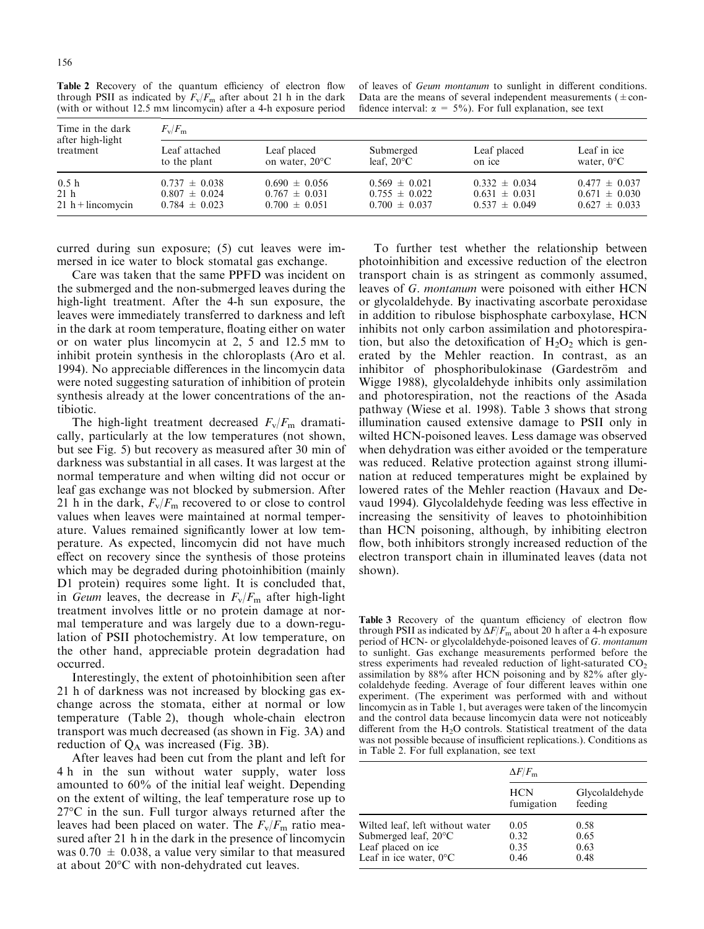| Time in the dark<br>after high-light<br>treatment          | $F_{\rm v}/F_{\rm m}$                                       |                                                             |                                                             |                                                             |                                                             |  |
|------------------------------------------------------------|-------------------------------------------------------------|-------------------------------------------------------------|-------------------------------------------------------------|-------------------------------------------------------------|-------------------------------------------------------------|--|
|                                                            | Leaf attached<br>to the plant                               | Leaf placed<br>on water, $20^{\circ}$ C                     | Submerged<br>leaf. $20^{\circ}$ C                           | Leaf placed<br>on ice                                       | Leaf in ice<br>water, $0^{\circ}$ C                         |  |
| 0.5 <sub>h</sub><br>21 <sub>h</sub><br>$21 h + lincomycin$ | $0.737 \pm 0.038$<br>$0.807 \pm 0.024$<br>$0.784 \pm 0.023$ | $0.690 \pm 0.056$<br>$0.767 \pm 0.031$<br>$0.700 \pm 0.051$ | $0.569 \pm 0.021$<br>$0.755 \pm 0.022$<br>$0.700 \pm 0.037$ | $0.332 \pm 0.034$<br>$0.631 \pm 0.031$<br>$0.537 \pm 0.049$ | $0.477 \pm 0.037$<br>$0.671 \pm 0.030$<br>$0.627 \pm 0.033$ |  |

Table 2 Recovery of the quantum efficiency of electron flow through PSII as indicated by  $F_v/F_m$  after about 21 h in the dark (with or without 12.5 mm lincomycin) after a 4-h exposure period

of leaves of Geum montanum to sunlight in different conditions. Data are the means of several independent measurements ( $\pm$  confidence interval:  $\alpha = 5\%$ ). For full explanation, see text

curred during sun exposure; (5) cut leaves were immersed in ice water to block stomatal gas exchange.

Care was taken that the same PPFD was incident on the submerged and the non-submerged leaves during the high-light treatment. After the 4-h sun exposure, the leaves were immediately transferred to darkness and left in the dark at room temperature, floating either on water or on water plus lincomycin at 2, 5 and 12.5 mm to inhibit protein synthesis in the chloroplasts (Aro et al. 1994). No appreciable differences in the lincomycin data were noted suggesting saturation of inhibition of protein synthesis already at the lower concentrations of the antibiotic.

The high-light treatment decreased  $F_v/F_m$  dramatically, particularly at the low temperatures (not shown, but see Fig. 5) but recovery as measured after 30 min of darkness was substantial in all cases. It was largest at the normal temperature and when wilting did not occur or leaf gas exchange was not blocked by submersion. After 21 h in the dark,  $F_v/F_m$  recovered to or close to control values when leaves were maintained at normal temperature. Values remained significantly lower at low temperature. As expected, lincomycin did not have much effect on recovery since the synthesis of those proteins which may be degraded during photoinhibition (mainly D1 protein) requires some light. It is concluded that, in Geum leaves, the decrease in  $F_v/F_m$  after high-light treatment involves little or no protein damage at normal temperature and was largely due to a down-regulation of PSII photochemistry. At low temperature, on the other hand, appreciable protein degradation had occurred.

Interestingly, the extent of photoinhibition seen after 21 h of darkness was not increased by blocking gas exchange across the stomata, either at normal or low temperature (Table 2), though whole-chain electron transport was much decreased (as shown in Fig. 3A) and reduction of  $Q_A$  was increased (Fig. 3B).

After leaves had been cut from the plant and left for 4 h in the sun without water supply, water loss amounted to 60% of the initial leaf weight. Depending on the extent of wilting, the leaf temperature rose up to 27°C in the sun. Full turgor always returned after the leaves had been placed on water. The  $F_v/F_m$  ratio measured after 21 h in the dark in the presence of lincomycin was  $0.70 \pm 0.038$ , a value very similar to that measured at about 20°C with non-dehydrated cut leaves.

To further test whether the relationship between photoinhibition and excessive reduction of the electron transport chain is as stringent as commonly assumed, leaves of G. montanum were poisoned with either HCN or glycolaldehyde. By inactivating ascorbate peroxidase in addition to ribulose bisphosphate carboxylase, HCN inhibits not only carbon assimilation and photorespiration, but also the detoxification of  $H_2O_2$  which is generated by the Mehler reaction. In contrast, as an inhibitor of phosphoribulokinase (Gardeström and Wigge 1988), glycolaldehyde inhibits only assimilation and photorespiration, not the reactions of the Asada pathway (Wiese et al. 1998). Table 3 shows that strong illumination caused extensive damage to PSII only in wilted HCN-poisoned leaves. Less damage was observed when dehydration was either avoided or the temperature was reduced. Relative protection against strong illumination at reduced temperatures might be explained by lowered rates of the Mehler reaction (Havaux and Devaud 1994). Glycolaldehyde feeding was less effective in increasing the sensitivity of leaves to photoinhibition than HCN poisoning, although, by inhibiting electron flow, both inhibitors strongly increased reduction of the electron transport chain in illuminated leaves (data not shown).

Table 3 Recovery of the quantum efficiency of electron flow through PSII as indicated by  $\Delta F/F_{\rm m}$  about 20 h after a 4-h exposure period of HCN- or glycolaldehyde-poisoned leaves of G. montanum to sunlight. Gas exchange measurements performed before the stress experiments had revealed reduction of light-saturated  $CO<sub>2</sub>$ assimilation by 88% after HCN poisoning and by 82% after glycolaldehyde feeding. Average of four different leaves within one experiment. (The experiment was performed with and without lincomycin as in Table 1, but averages were taken of the lincomycin and the control data because lincomycin data were not noticeably different from the  $H_2O$  controls. Statistical treatment of the data was not possible because of insufficient replications.). Conditions as in Table 2. For full explanation, see text

|                                                                                                                   | $\Delta F/F_{\rm m}$         |                              |  |
|-------------------------------------------------------------------------------------------------------------------|------------------------------|------------------------------|--|
|                                                                                                                   | <b>HCN</b><br>fumigation     | Glycolaldehyde<br>feeding    |  |
| Wilted leaf, left without water<br>Submerged leaf, 20°C<br>Leaf placed on ice<br>Leaf in ice water, $0^{\circ}$ C | 0.05<br>0.32<br>0.35<br>0.46 | 0.58<br>0.65<br>0.63<br>0.48 |  |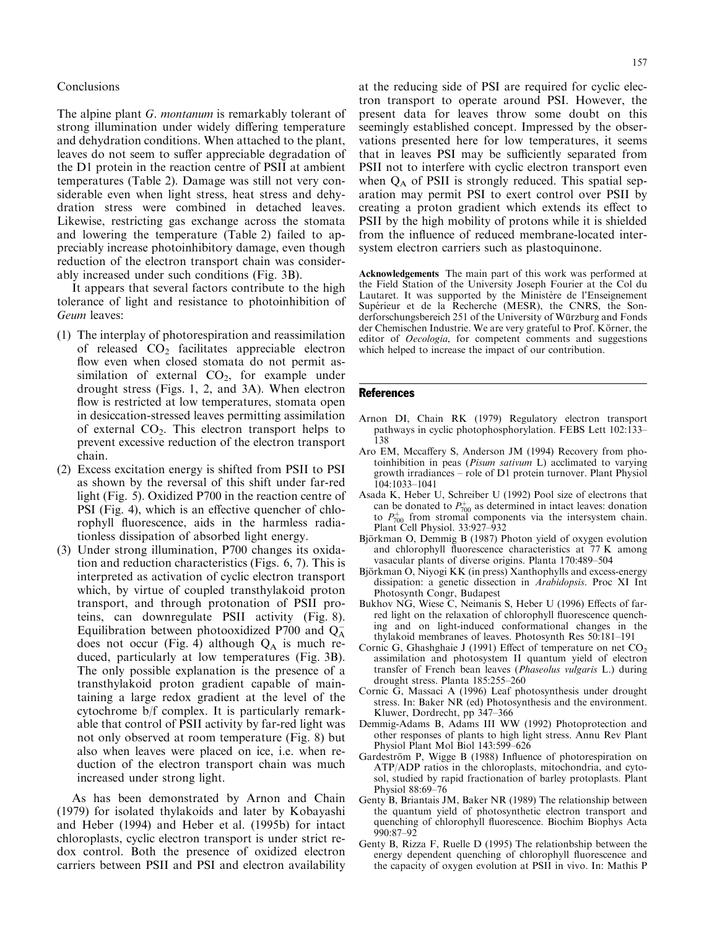## **Conclusions**

The alpine plant G. *montanum* is remarkably tolerant of strong illumination under widely differing temperature and dehydration conditions. When attached to the plant, leaves do not seem to suffer appreciable degradation of the D1 protein in the reaction centre of PSII at ambient temperatures (Table 2). Damage was still not very considerable even when light stress, heat stress and dehydration stress were combined in detached leaves. Likewise, restricting gas exchange across the stomata and lowering the temperature (Table 2) failed to appreciably increase photoinhibitory damage, even though reduction of the electron transport chain was considerably increased under such conditions (Fig. 3B).

It appears that several factors contribute to the high tolerance of light and resistance to photoinhibition of Geum leaves:

- (1) The interplay of photorespiration and reassimilation of released  $CO<sub>2</sub>$  facilitates appreciable electron flow even when closed stomata do not permit assimilation of external  $CO<sub>2</sub>$ , for example under drought stress (Figs. 1, 2, and 3A). When electron flow is restricted at low temperatures, stomata open in desiccation-stressed leaves permitting assimilation of external  $CO<sub>2</sub>$ . This electron transport helps to prevent excessive reduction of the electron transport chain.
- (2) Excess excitation energy is shifted from PSII to PSI as shown by the reversal of this shift under far-red light (Fig. 5). Oxidized P700 in the reaction centre of PSI (Fig. 4), which is an effective quencher of chlorophyll fluorescence, aids in the harmless radiationless dissipation of absorbed light energy.
- (3) Under strong illumination, P700 changes its oxidation and reduction characteristics (Figs. 6, 7). This is interpreted as activation of cyclic electron transport which, by virtue of coupled transthylakoid proton transport, and through protonation of PSII proteins, can downregulate PSII activity (Fig. 8). Equilibration between photooxidized P700 and  $Q_A^$ does not occur (Fig. 4) although  $Q_A$  is much reduced, particularly at low temperatures (Fig. 3B). The only possible explanation is the presence of a transthylakoid proton gradient capable of maintaining a large redox gradient at the level of the cytochrome b/f complex. It is particularly remarkable that control of PSII activity by far-red light was not only observed at room temperature (Fig. 8) but also when leaves were placed on ice, i.e. when reduction of the electron transport chain was much increased under strong light.

As has been demonstrated by Arnon and Chain (1979) for isolated thylakoids and later by Kobayashi and Heber (1994) and Heber et al. (1995b) for intact chloroplasts, cyclic electron transport is under strict redox control. Both the presence of oxidized electron carriers between PSII and PSI and electron availability

at the reducing side of PSI are required for cyclic electron transport to operate around PSI. However, the present data for leaves throw some doubt on this seemingly established concept. Impressed by the observations presented here for low temperatures, it seems that in leaves PSI may be sufficiently separated from PSII not to interfere with cyclic electron transport even when  $Q_A$  of PSII is strongly reduced. This spatial separation may permit PSI to exert control over PSII by creating a proton gradient which extends its effect to PSII by the high mobility of protons while it is shielded from the influence of reduced membrane-located inter-

Acknowledgements The main part of this work was performed at the Field Station of the University Joseph Fourier at the Col du Lautaret. It was supported by the Ministère de l'Enseignement Supérieur et de la Recherche (MESR), the CNRS, the Sonderforschungsbereich 251 of the University of Würzburg and Fonds der Chemischen Industrie. We are very grateful to Prof. Körner, the editor of *Oecologia*, for competent comments and suggestions which helped to increase the impact of our contribution.

system electron carriers such as plastoquinone.

## References

- Arnon DI, Chain RK (1979) Regulatory electron transport pathways in cyclic photophosphorylation. FEBS Lett 102:133-138
- Aro EM, Mccaffery S, Anderson JM (1994) Recovery from photoinhibition in peas (Pisum sativum L) acclimated to varying growth irradiances  $-$  role of D1 protein turnover. Plant Physiol 104:1033±1041
- Asada K, Heber U, Schreiber U (1992) Pool size of electrons that can be donated to  $P_{700}^+$  as determined in intact leaves: donation to  $P_{700}^{+}$  from stromal components via the intersystem chain. Plant Cell Physiol. 33:927-932
- Björkman O, Demmig B (1987) Photon yield of oxygen evolution and chlorophyll fluorescence characteristics at  $77$  K among vasacular plants of diverse origins. Planta 170:489-504
- Björkman O, Niyogi KK (in press) Xanthophylls and excess-energy dissipation: a genetic dissection in Arabidopsis. Proc XI Int Photosynth Congr, Budapest
- Bukhov NG, Wiese C, Neimanis S, Heber U (1996) Effects of farred light on the relaxation of chlorophyll fluorescence quenching and on light-induced conformational changes in the thylakoid membranes of leaves. Photosynth Res 50:181-191
- Cornic G, Ghashghaie J (1991) Effect of temperature on net  $CO<sub>2</sub>$ assimilation and photosystem II quantum yield of electron transfer of French bean leaves (Phaseolus vulgaris L.) during drought stress. Planta 185:255-260
- Cornic G, Massaci A (1996) Leaf photosynthesis under drought stress. In: Baker NR (ed) Photosynthesis and the environment. Kluwer, Dordrecht, pp 347-366
- Demmig-Adams B, Adams III WW (1992) Photoprotection and other responses of plants to high light stress. Annu Rev Plant Physiol Plant Mol Biol 143:599-626
- Gardeström P, Wigge B (1988) Influence of photorespiration on ATP/ADP ratios in the chloroplasts, mitochondria, and cytosol, studied by rapid fractionation of barley protoplasts. Plant Physiol 88:69-76
- Genty B, Briantais JM, Baker NR (1989) The relationship between the quantum yield of photosynthetic electron transport and quenching of chlorophyll fluorescence. Biochim Biophys Acta 990:87±92
- Genty B, Rizza F, Ruelle D (1995) The relationbship between the energy dependent quenching of chlorophyll fluorescence and the capacity of oxygen evolution at PSII in vivo. In: Mathis P